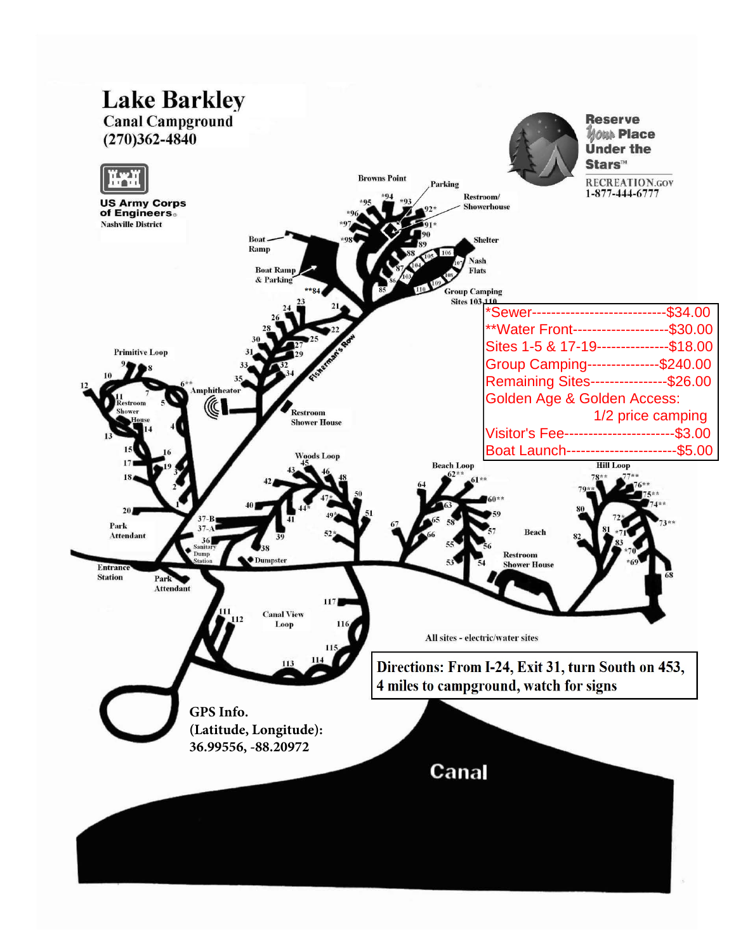